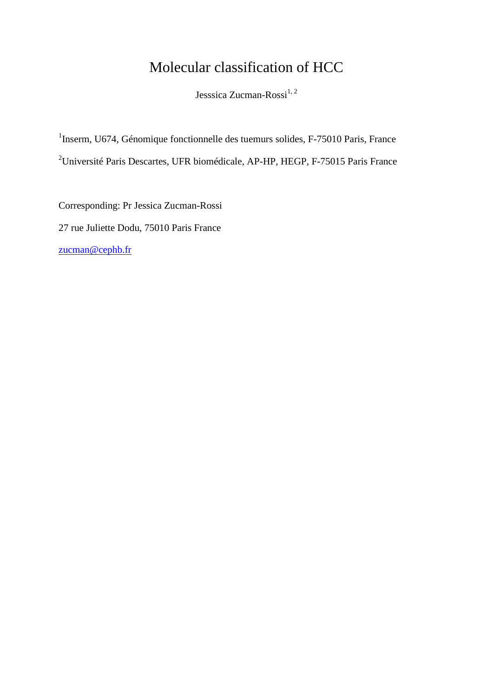# Molecular classification of HCC

Jesssica Zucman-Rossi<sup>1, 2</sup>

<sup>1</sup>Inserm, U674, Génomique fonctionnelle des tuemurs solides, F-75010 Paris, France <sup>2</sup>Université Paris Descartes, UFR biomédicale, AP-HP, HEGP, F-75015 Paris France

Corresponding: Pr Jessica Zucman-Rossi 27 rue Juliette Dodu, 75010 Paris France [zucman@cephb.fr](mailto:zucman@cephb.fr)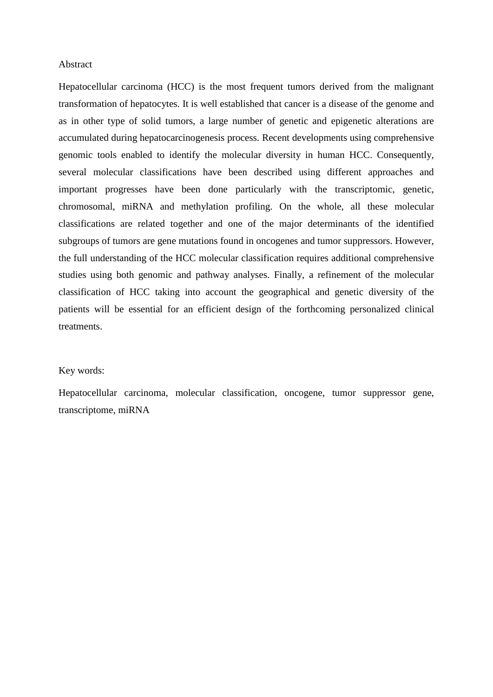#### Abstract

Hepatocellular carcinoma (HCC) is the most frequent tumors derived from the malignant transformation of hepatocytes. It is well established that cancer is a disease of the genome and as in other type of solid tumors, a large number of genetic and epigenetic alterations are accumulated during hepatocarcinogenesis process. Recent developments using comprehensive genomic tools enabled to identify the molecular diversity in human HCC. Consequently, several molecular classifications have been described using different approaches and important progresses have been done particularly with the transcriptomic, genetic, chromosomal, miRNA and methylation profiling. On the whole, all these molecular classifications are related together and one of the major determinants of the identified subgroups of tumors are gene mutations found in oncogenes and tumor suppressors. However, the full understanding of the HCC molecular classification requires additional comprehensive studies using both genomic and pathway analyses. Finally, a refinement of the molecular classification of HCC taking into account the geographical and genetic diversity of the patients will be essential for an efficient design of the forthcoming personalized clinical treatments.

#### Key words:

Hepatocellular carcinoma, molecular classification, oncogene, tumor suppressor gene, transcriptome, miRNA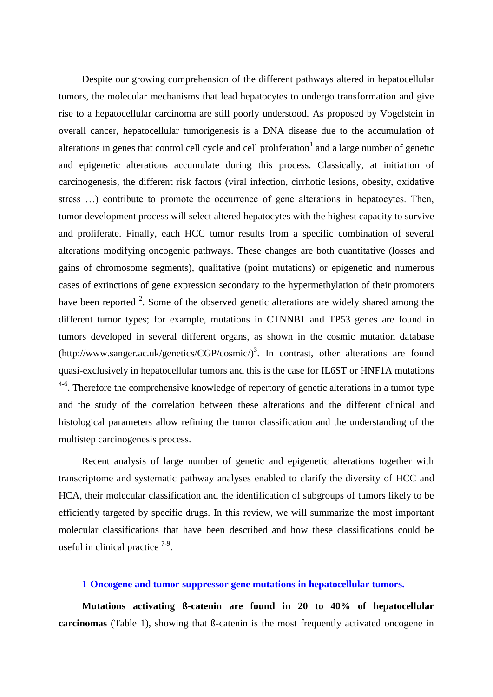Despite our growing comprehension of the different pathways altered in hepatocellular tumors, the molecular mechanisms that lead hepatocytes to undergo transformation and give rise to a hepatocellular carcinoma are still poorly understood. As proposed by Vogelstein in overall cancer, hepatocellular tumorigenesis is a DNA disease due to the accumulation of alterations in genes that control cell cycle and cell proliferation<sup>1</sup> and a large number of genetic and epigenetic alterations accumulate during this process. Classically, at initiation of carcinogenesis, the different risk factors (viral infection, cirrhotic lesions, obesity, oxidative stress …) contribute to promote the occurrence of gene alterations in hepatocytes. Then, tumor development process will select altered hepatocytes with the highest capacity to survive and proliferate. Finally, each HCC tumor results from a specific combination of several alterations modifying oncogenic pathways. These changes are both quantitative (losses and gains of chromosome segments), qualitative (point mutations) or epigenetic and numerous cases of extinctions of gene expression secondary to the hypermethylation of their promoters have been reported  $2$ . Some of the observed genetic alterations are widely shared among the different tumor types; for example, mutations in CTNNB1 and TP53 genes are found in tumors developed in several different organs, as shown in the cosmic mutation database (http://www.sanger.ac.uk/genetics/CGP/cosmic/)<sup>3</sup>. In contrast, other alterations are found quasi-exclusively in hepatocellular tumors and this is the case for IL6ST or HNF1A mutations  $4-6$ . Therefore the comprehensive knowledge of repertory of genetic alterations in a tumor type and the study of the correlation between these alterations and the different clinical and histological parameters allow refining the tumor classification and the understanding of the multistep carcinogenesis process.

Recent analysis of large number of genetic and epigenetic alterations together with transcriptome and systematic pathway analyses enabled to clarify the diversity of HCC and HCA, their molecular classification and the identification of subgroups of tumors likely to be efficiently targeted by specific drugs. In this review, we will summarize the most important molecular classifications that have been described and how these classifications could be useful in clinical practice  $7-9$ .

### **1-Oncogene and tumor suppressor gene mutations in hepatocellular tumors.**

**Mutations activating ß-catenin are found in 20 to 40% of hepatocellular carcinomas** (Table 1), showing that ß-catenin is the most frequently activated oncogene in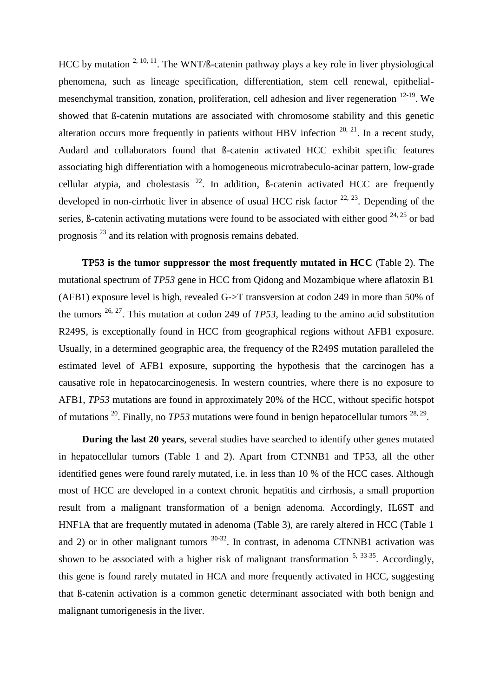HCC by mutation  $2, 10, 11$ . The WNT/ß-catenin pathway plays a key role in liver physiological phenomena, such as lineage specification, differentiation, stem cell renewal, epithelialmesenchymal transition, zonation, proliferation, cell adhesion and liver regeneration 12-19. We showed that ß-catenin mutations are associated with chromosome stability and this genetic alteration occurs more frequently in patients without HBV infection  $20, 21$ . In a recent study, Audard and collaborators found that ß-catenin activated HCC exhibit specific features associating high differentiation with a homogeneous microtrabeculo-acinar pattern, low-grade cellular atypia, and cholestasis  $^{22}$ . In addition, B-catenin activated HCC are frequently developed in non-cirrhotic liver in absence of usual HCC risk factor  $22, 23$ . Depending of the series, ß-catenin activating mutations were found to be associated with either good  $24, 25$  or bad prognosis <sup>23</sup> and its relation with prognosis remains debated.

**TP53 is the tumor suppressor the most frequently mutated in HCC** (Table 2). The mutational spectrum of *TP53* gene in HCC from Qidong and Mozambique where aflatoxin B1 (AFB1) exposure level is high, revealed G->T transversion at codon 249 in more than 50% of the tumors 26, 27. This mutation at codon 249 of *TP53*, leading to the amino acid substitution R249S, is exceptionally found in HCC from geographical regions without AFB1 exposure. Usually, in a determined geographic area, the frequency of the R249S mutation paralleled the estimated level of AFB1 exposure, supporting the hypothesis that the carcinogen has a causative role in hepatocarcinogenesis. In western countries, where there is no exposure to AFB1, *TP53* mutations are found in approximately 20% of the HCC, without specific hotspot of mutations <sup>20</sup>. Finally, no *TP53* mutations were found in benign hepatocellular tumors <sup>28, 29</sup>.

**During the last 20 years**, several studies have searched to identify other genes mutated in hepatocellular tumors (Table 1 and 2). Apart from CTNNB1 and TP53, all the other identified genes were found rarely mutated, i.e. in less than 10 % of the HCC cases. Although most of HCC are developed in a context chronic hepatitis and cirrhosis, a small proportion result from a malignant transformation of a benign adenoma. Accordingly, IL6ST and HNF1A that are frequently mutated in adenoma (Table 3), are rarely altered in HCC (Table 1 and 2) or in other malignant tumors  $30-32$ . In contrast, in adenoma CTNNB1 activation was shown to be associated with a higher risk of malignant transformation  $5, 33-35$ . Accordingly, this gene is found rarely mutated in HCA and more frequently activated in HCC, suggesting that ß-catenin activation is a common genetic determinant associated with both benign and malignant tumorigenesis in the liver.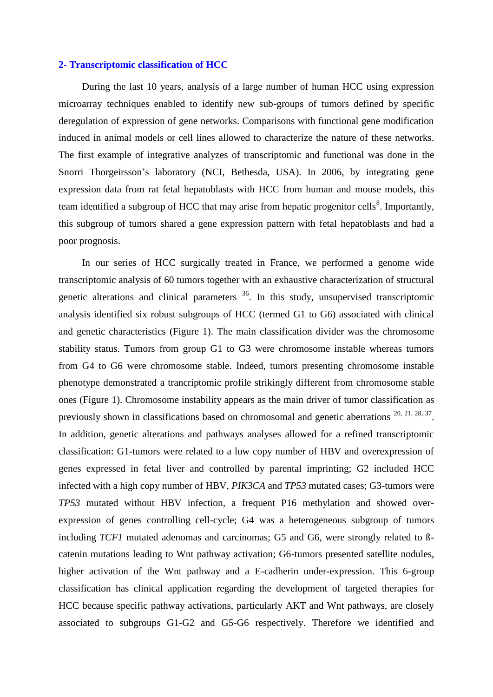### **2- Transcriptomic classification of HCC**

During the last 10 years, analysis of a large number of human HCC using expression microarray techniques enabled to identify new sub-groups of tumors defined by specific deregulation of expression of gene networks. Comparisons with functional gene modification induced in animal models or cell lines allowed to characterize the nature of these networks. The first example of integrative analyzes of transcriptomic and functional was done in the Snorri Thorgeirsson's laboratory (NCI, Bethesda, USA). In 2006, by integrating gene expression data from rat fetal hepatoblasts with HCC from human and mouse models, this team identified a subgroup of HCC that may arise from hepatic progenitor cells $^{8}$ . Importantly, this subgroup of tumors shared a gene expression pattern with fetal hepatoblasts and had a poor prognosis.

In our series of HCC surgically treated in France, we performed a genome wide transcriptomic analysis of 60 tumors together with an exhaustive characterization of structural genetic alterations and clinical parameters  $36$ . In this study, unsupervised transcriptomic analysis identified six robust subgroups of HCC (termed G1 to G6) associated with clinical and genetic characteristics (Figure 1). The main classification divider was the chromosome stability status. Tumors from group G1 to G3 were chromosome instable whereas tumors from G4 to G6 were chromosome stable. Indeed, tumors presenting chromosome instable phenotype demonstrated a trancriptomic profile strikingly different from chromosome stable ones (Figure 1). Chromosome instability appears as the main driver of tumor classification as previously shown in classifications based on chromosomal and genetic aberrations  $20, 21, 28, 37$ . In addition, genetic alterations and pathways analyses allowed for a refined transcriptomic classification: G1-tumors were related to a low copy number of HBV and overexpression of genes expressed in fetal liver and controlled by parental imprinting; G2 included HCC infected with a high copy number of HBV, *PIK3CA* and *TP53* mutated cases; G3-tumors were *TP53* mutated without HBV infection, a frequent P16 methylation and showed overexpression of genes controlling cell-cycle; G4 was a heterogeneous subgroup of tumors including *TCF1* mutated adenomas and carcinomas; G5 and G6, were strongly related to ßcatenin mutations leading to Wnt pathway activation; G6-tumors presented satellite nodules, higher activation of the Wnt pathway and a E-cadherin under-expression. This 6-group classification has clinical application regarding the development of targeted therapies for HCC because specific pathway activations, particularly AKT and Wnt pathways, are closely associated to subgroups G1-G2 and G5-G6 respectively. Therefore we identified and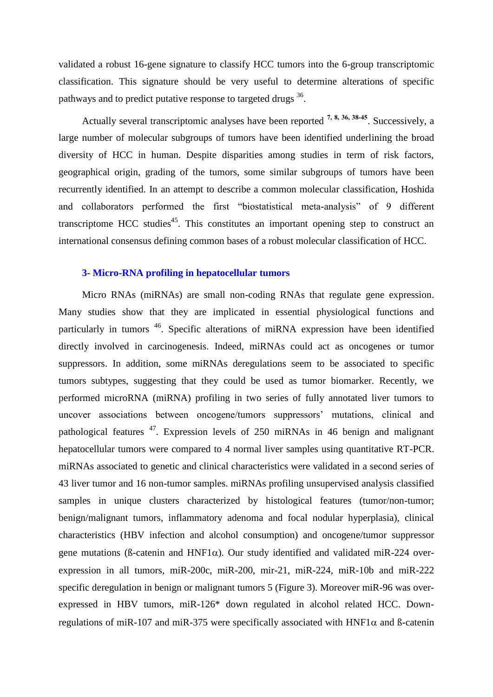validated a robust 16-gene signature to classify HCC tumors into the 6-group transcriptomic classification. This signature should be very useful to determine alterations of specific pathways and to predict putative response to targeted drugs  $36$ .

Actually several transcriptomic analyses have been reported **7, 8, 36, 38-45**. Successively, a large number of molecular subgroups of tumors have been identified underlining the broad diversity of HCC in human. Despite disparities among studies in term of risk factors, geographical origin, grading of the tumors, some similar subgroups of tumors have been recurrently identified. In an attempt to describe a common molecular classification, Hoshida and collaborators performed the first "biostatistical meta-analysis" of 9 different transcriptome HCC studies<sup>45</sup>. This constitutes an important opening step to construct an international consensus defining common bases of a robust molecular classification of HCC.

#### **3- Micro-RNA profiling in hepatocellular tumors**

Micro RNAs (miRNAs) are small non-coding RNAs that regulate gene expression. Many studies show that they are implicated in essential physiological functions and particularly in tumors <sup>46</sup>. Specific alterations of miRNA expression have been identified directly involved in carcinogenesis. Indeed, miRNAs could act as oncogenes or tumor suppressors. In addition, some miRNAs deregulations seem to be associated to specific tumors subtypes, suggesting that they could be used as tumor biomarker. Recently, we performed microRNA (miRNA) profiling in two series of fully annotated liver tumors to uncover associations between oncogene/tumors suppressors' mutations, clinical and pathological features <sup>47</sup>. Expression levels of 250 miRNAs in 46 benign and malignant hepatocellular tumors were compared to 4 normal liver samples using quantitative RT-PCR. miRNAs associated to genetic and clinical characteristics were validated in a second series of 43 liver tumor and 16 non-tumor samples. miRNAs profiling unsupervised analysis classified samples in unique clusters characterized by histological features (tumor/non-tumor; benign/malignant tumors, inflammatory adenoma and focal nodular hyperplasia), clinical characteristics (HBV infection and alcohol consumption) and oncogene/tumor suppressor gene mutations ( $\beta$ -catenin and HNF1 $\alpha$ ). Our study identified and validated miR-224 overexpression in all tumors, miR-200c, miR-200, mir-21, miR-224, miR-10b and miR-222 specific deregulation in benign or malignant tumors 5 (Figure 3). Moreover miR-96 was overexpressed in HBV tumors, miR-126\* down regulated in alcohol related HCC. Downregulations of miR-107 and miR-375 were specifically associated with  $HNF1\alpha$  and B-catenin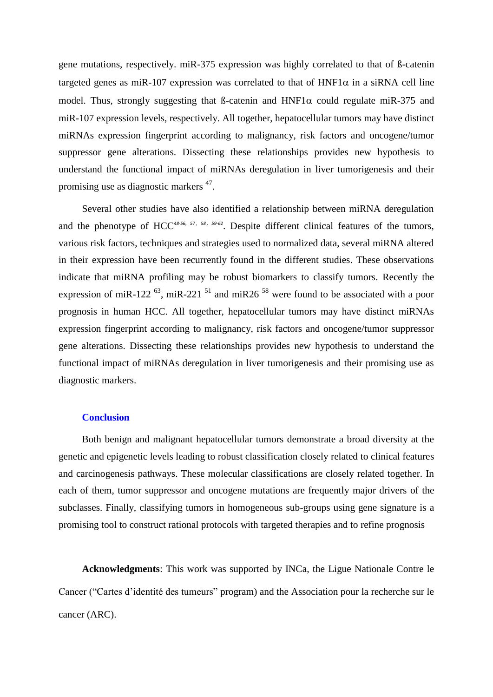gene mutations, respectively. miR-375 expression was highly correlated to that of ß-catenin targeted genes as miR-107 expression was correlated to that of  $HNF1\alpha$  in a siRNA cell line model. Thus, strongly suggesting that B-catenin and  $HNF1\alpha$  could regulate miR-375 and miR-107 expression levels, respectively. All together, hepatocellular tumors may have distinct miRNAs expression fingerprint according to malignancy, risk factors and oncogene/tumor suppressor gene alterations. Dissecting these relationships provides new hypothesis to understand the functional impact of miRNAs deregulation in liver tumorigenesis and their promising use as diagnostic markers <sup>47</sup>.

Several other studies have also identified a relationship between miRNA deregulation and the phenotype of HCC*48-56, 57 , 58 , 59-62* . Despite different clinical features of the tumors, various risk factors, techniques and strategies used to normalized data, several miRNA altered in their expression have been recurrently found in the different studies. These observations indicate that miRNA profiling may be robust biomarkers to classify tumors. Recently the expression of miR-122<sup> $63$ </sup>, miR-221<sup>51</sup> and miR26<sup>58</sup> were found to be associated with a poor prognosis in human HCC. All together, hepatocellular tumors may have distinct miRNAs expression fingerprint according to malignancy, risk factors and oncogene/tumor suppressor gene alterations. Dissecting these relationships provides new hypothesis to understand the functional impact of miRNAs deregulation in liver tumorigenesis and their promising use as diagnostic markers.

#### **Conclusion**

Both benign and malignant hepatocellular tumors demonstrate a broad diversity at the genetic and epigenetic levels leading to robust classification closely related to clinical features and carcinogenesis pathways. These molecular classifications are closely related together. In each of them, tumor suppressor and oncogene mutations are frequently major drivers of the subclasses. Finally, classifying tumors in homogeneous sub-groups using gene signature is a promising tool to construct rational protocols with targeted therapies and to refine prognosis

**Acknowledgments**: This work was supported by INCa, the Ligue Nationale Contre le Cancer ("Cartes d'identité des tumeurs" program) and the Association pour la recherche sur le cancer (ARC).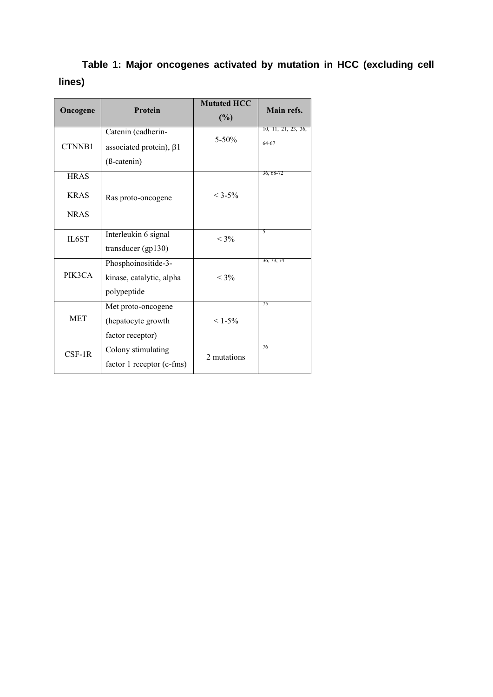# **Table 1: Major oncogenes activated by mutation in HCC (excluding cell lines)**

| Oncogene    | Protein                        | <b>Mutated HCC</b><br>$(\%)$ | Main refs.          |
|-------------|--------------------------------|------------------------------|---------------------|
|             | Catenin (cadherin-             |                              | 10, 11, 21, 23, 36, |
| CTNNB1      | associated protein), $\beta$ 1 | $5 - 50\%$                   | 64-67               |
|             | $(B\text{-catenin})$           |                              |                     |
| <b>HRAS</b> |                                |                              | 36, 68-72           |
| <b>KRAS</b> | Ras proto-oncogene             | $< 3 - 5\%$                  |                     |
| <b>NRAS</b> |                                |                              |                     |
| IL6ST       | Interleukin 6 signal           | $< 3\%$                      | 5                   |
|             | transducer $(gp130)$           |                              |                     |
| PIK3CA      | Phosphoinositide-3-            |                              | 36, 73, 74          |
|             | kinase, catalytic, alpha       | $< 3\%$                      |                     |
|             | polypeptide                    |                              |                     |
| <b>MET</b>  | Met proto-oncogene             |                              | 75                  |
|             | (hepatocyte growth             | $< 1 - 5\%$                  |                     |
|             | factor receptor)               |                              |                     |
| $CSF-1R$    | Colony stimulating             | 2 mutations                  | 76                  |
|             | factor 1 receptor (c-fms)      |                              |                     |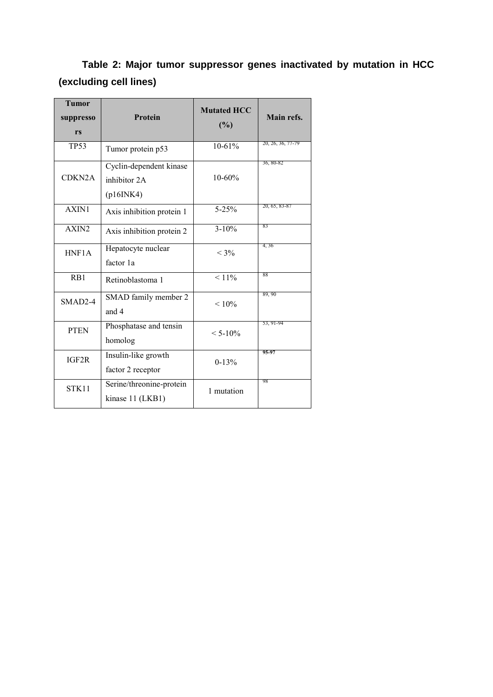## **Table 2: Major tumor suppressor genes inactivated by mutation in HCC (excluding cell lines)**

| <b>Tumor</b><br>suppresso<br>rs | <b>Protein</b>                                       | <b>Mutated HCC</b><br>(%) | Main refs.        |  |
|---------------------------------|------------------------------------------------------|---------------------------|-------------------|--|
| <b>TP53</b>                     | Tumor protein p53                                    | $10-61%$                  | 20, 26, 36, 77-79 |  |
| CDKN2A                          | Cyclin-dependent kinase<br>inhibitor 2A<br>(p16INK4) | $10 - 60%$                | 36, 80-82         |  |
| AXIN1                           | Axis inhibition protein 1                            | $5 - 25%$                 | 20, 65, 83-87     |  |
| AXIN2                           | Axis inhibition protein 2                            | $3 - 10%$                 | 83                |  |
| HNF1A                           | Hepatocyte nuclear<br>factor la                      | $< 3\%$                   | 4, 36             |  |
| RB1                             | Retinoblastoma 1                                     | $\overline{<}11\%$        | 88                |  |
| SMAD2-4                         | SMAD family member 2<br>and 4                        | $< 10\%$                  | 89, 90            |  |
| <b>PTEN</b>                     | Phosphatase and tensin<br>homolog                    | $< 5 - 10\%$              | 53, 91-94         |  |
| IGF2R                           | Insulin-like growth<br>factor 2 receptor             | $0 - 13%$                 | 95-97             |  |
| STK11                           | Serine/threonine-protein<br>kinase 11 (LKB1)         | 1 mutation                | 98                |  |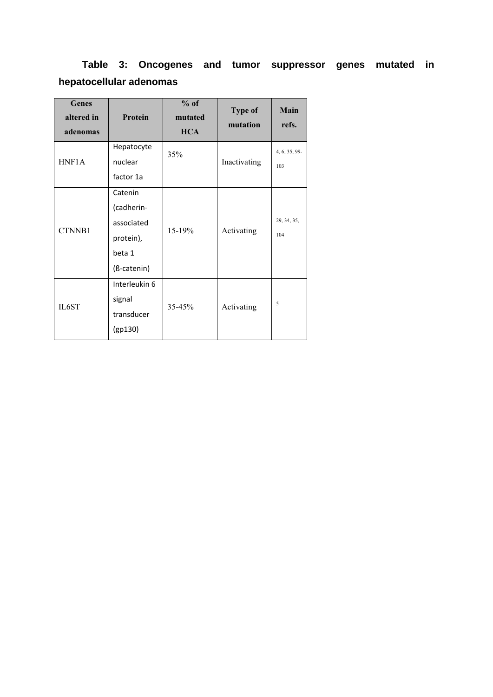## **Table 3: Oncogenes and tumor suppressor genes mutated in hepatocellular adenomas**

| <b>Genes</b> | Protein       | $%$ of     | <b>Type of</b> | Main          |
|--------------|---------------|------------|----------------|---------------|
| altered in   |               | mutated    | mutation       | refs.         |
| adenomas     |               | <b>HCA</b> |                |               |
| HNF1A        | Hepatocyte    | 35%        | Inactivating   | 4, 6, 35, 99- |
|              | nuclear       |            |                | 103           |
|              | factor 1a     |            |                |               |
|              | Catenin       |            |                |               |
|              | (cadherin-    |            | Activating     |               |
| CTNNB1       | associated    | 15-19%     |                | 29, 34, 35,   |
|              | protein),     |            |                | 104           |
|              | beta 1        |            |                |               |
|              | (ß-catenin)   |            |                |               |
|              | Interleukin 6 |            |                |               |
| IL6ST        | signal        | 35-45%     | Activating     | 5             |
|              | transducer    |            |                |               |
|              | (gp130)       |            |                |               |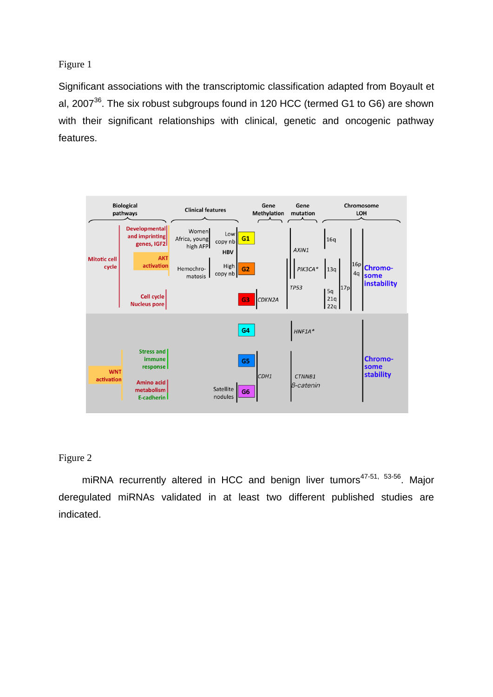### Figure 1

Significant associations with the transcriptomic classification adapted from Boyault et al,  $2007^{36}$ . The six robust subgroups found in 120 HCC (termed G1 to G6) are shown with their significant relationships with clinical, genetic and oncogenic pathway features.



### Figure 2

miRNA recurrently altered in HCC and benign liver tumors<sup>47-51, 53-56</sup>. Major deregulated miRNAs validated in at least two different published studies are indicated.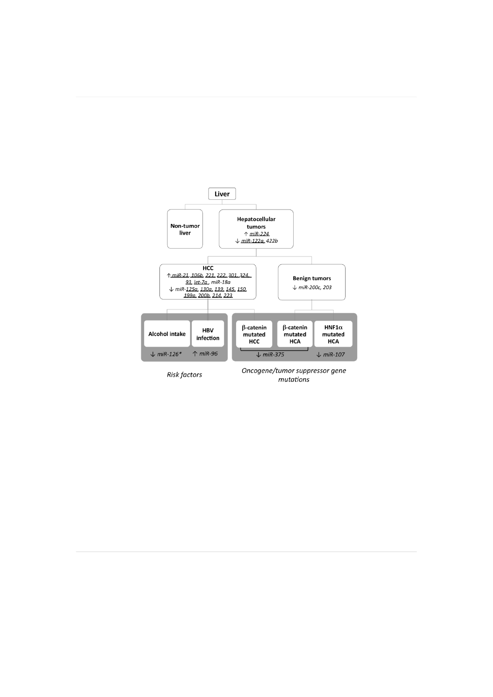

mutations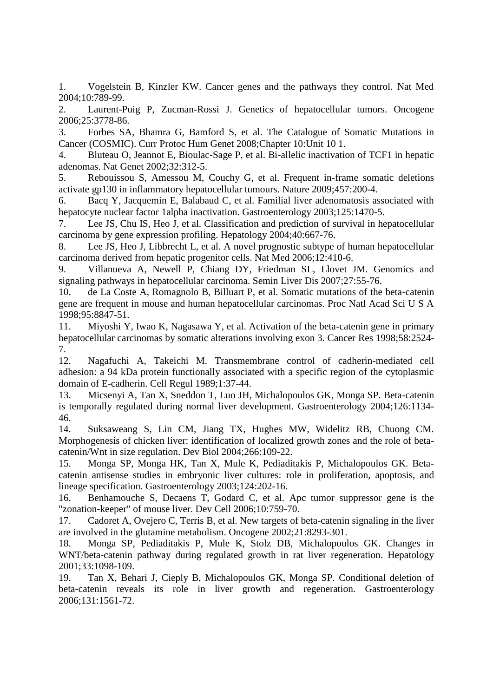1. Vogelstein B, Kinzler KW. Cancer genes and the pathways they control. Nat Med 2004;10:789-99.

2. Laurent-Puig P, Zucman-Rossi J. Genetics of hepatocellular tumors. Oncogene 2006;25:3778-86.

3. Forbes SA, Bhamra G, Bamford S, et al. The Catalogue of Somatic Mutations in Cancer (COSMIC). Curr Protoc Hum Genet 2008;Chapter 10:Unit 10 1.

4. Bluteau O, Jeannot E, Bioulac-Sage P, et al. Bi-allelic inactivation of TCF1 in hepatic adenomas. Nat Genet 2002;32:312-5.

5. Rebouissou S, Amessou M, Couchy G, et al. Frequent in-frame somatic deletions activate gp130 in inflammatory hepatocellular tumours. Nature 2009;457:200-4.

6. Bacq Y, Jacquemin E, Balabaud C, et al. Familial liver adenomatosis associated with hepatocyte nuclear factor 1alpha inactivation. Gastroenterology 2003;125:1470-5.

7. Lee JS, Chu IS, Heo J, et al. Classification and prediction of survival in hepatocellular carcinoma by gene expression profiling. Hepatology 2004;40:667-76.

8. Lee JS, Heo J, Libbrecht L, et al. A novel prognostic subtype of human hepatocellular carcinoma derived from hepatic progenitor cells. Nat Med 2006;12:410-6.

9. Villanueva A, Newell P, Chiang DY, Friedman SL, Llovet JM. Genomics and signaling pathways in hepatocellular carcinoma. Semin Liver Dis 2007;27:55-76.

10. de La Coste A, Romagnolo B, Billuart P, et al. Somatic mutations of the beta-catenin gene are frequent in mouse and human hepatocellular carcinomas. Proc Natl Acad Sci U S A 1998;95:8847-51.

11. Miyoshi Y, Iwao K, Nagasawa Y, et al. Activation of the beta-catenin gene in primary hepatocellular carcinomas by somatic alterations involving exon 3. Cancer Res 1998;58:2524- 7.

12. Nagafuchi A, Takeichi M. Transmembrane control of cadherin-mediated cell adhesion: a 94 kDa protein functionally associated with a specific region of the cytoplasmic domain of E-cadherin. Cell Regul 1989;1:37-44.

13. Micsenyi A, Tan X, Sneddon T, Luo JH, Michalopoulos GK, Monga SP. Beta-catenin is temporally regulated during normal liver development. Gastroenterology 2004;126:1134- 46.

14. Suksaweang S, Lin CM, Jiang TX, Hughes MW, Widelitz RB, Chuong CM. Morphogenesis of chicken liver: identification of localized growth zones and the role of betacatenin/Wnt in size regulation. Dev Biol 2004;266:109-22.

15. Monga SP, Monga HK, Tan X, Mule K, Pediaditakis P, Michalopoulos GK. Betacatenin antisense studies in embryonic liver cultures: role in proliferation, apoptosis, and lineage specification. Gastroenterology 2003;124:202-16.

16. Benhamouche S, Decaens T, Godard C, et al. Apc tumor suppressor gene is the "zonation-keeper" of mouse liver. Dev Cell 2006;10:759-70.

17. Cadoret A, Ovejero C, Terris B, et al. New targets of beta-catenin signaling in the liver are involved in the glutamine metabolism. Oncogene 2002;21:8293-301.

18. Monga SP, Pediaditakis P, Mule K, Stolz DB, Michalopoulos GK. Changes in WNT/beta-catenin pathway during regulated growth in rat liver regeneration. Hepatology 2001;33:1098-109.

19. Tan X, Behari J, Cieply B, Michalopoulos GK, Monga SP. Conditional deletion of beta-catenin reveals its role in liver growth and regeneration. Gastroenterology 2006;131:1561-72.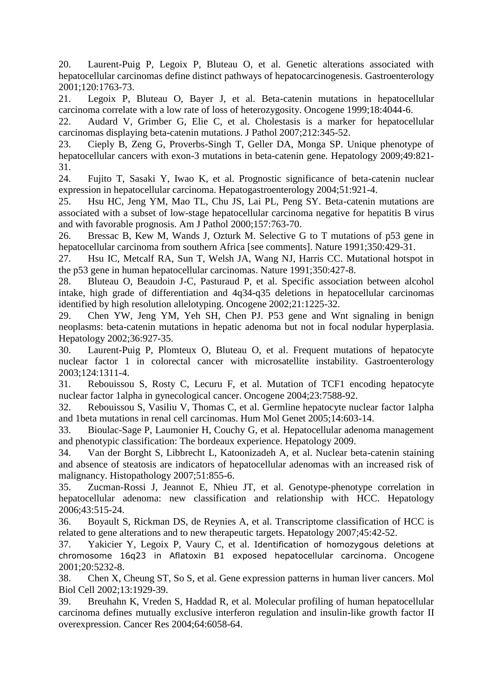20. Laurent-Puig P, Legoix P, Bluteau O, et al. Genetic alterations associated with hepatocellular carcinomas define distinct pathways of hepatocarcinogenesis. Gastroenterology 2001;120:1763-73.

21. Legoix P, Bluteau O, Bayer J, et al. Beta-catenin mutations in hepatocellular carcinoma correlate with a low rate of loss of heterozygosity. Oncogene 1999;18:4044-6.

22. Audard V, Grimber G, Elie C, et al. Cholestasis is a marker for hepatocellular carcinomas displaying beta-catenin mutations. J Pathol 2007;212:345-52.

23. Cieply B, Zeng G, Proverbs-Singh T, Geller DA, Monga SP. Unique phenotype of hepatocellular cancers with exon-3 mutations in beta-catenin gene. Hepatology 2009;49:821- 31.

24. Fujito T, Sasaki Y, Iwao K, et al. Prognostic significance of beta-catenin nuclear expression in hepatocellular carcinoma. Hepatogastroenterology 2004;51:921-4.

25. Hsu HC, Jeng YM, Mao TL, Chu JS, Lai PL, Peng SY. Beta-catenin mutations are associated with a subset of low-stage hepatocellular carcinoma negative for hepatitis B virus and with favorable prognosis. Am J Pathol 2000;157:763-70.

26. Bressac B, Kew M, Wands J, Ozturk M. Selective G to T mutations of p53 gene in hepatocellular carcinoma from southern Africa [see comments]. Nature 1991;350:429-31.

27. Hsu IC, Metcalf RA, Sun T, Welsh JA, Wang NJ, Harris CC. Mutational hotspot in the p53 gene in human hepatocellular carcinomas. Nature 1991;350:427-8.

28. Bluteau O, Beaudoin J-C, Pasturaud P, et al. Specific association between alcohol intake, high grade of differentiation and 4q34-q35 deletions in hepatocellular carcinomas identified by high resolution allelotyping. Oncogene 2002;21:1225-32.

29. Chen YW, Jeng YM, Yeh SH, Chen PJ. P53 gene and Wnt signaling in benign neoplasms: beta-catenin mutations in hepatic adenoma but not in focal nodular hyperplasia. Hepatology 2002;36:927-35.

30. Laurent-Puig P, Plomteux O, Bluteau O, et al. Frequent mutations of hepatocyte nuclear factor 1 in colorectal cancer with microsatellite instability. Gastroenterology 2003;124:1311-4.

31. Rebouissou S, Rosty C, Lecuru F, et al. Mutation of TCF1 encoding hepatocyte nuclear factor 1alpha in gynecological cancer. Oncogene 2004;23:7588-92.

32. Rebouissou S, Vasiliu V, Thomas C, et al. Germline hepatocyte nuclear factor 1alpha and 1beta mutations in renal cell carcinomas. Hum Mol Genet 2005;14:603-14.

33. Bioulac-Sage P, Laumonier H, Couchy G, et al. Hepatocellular adenoma management and phenotypic classification: The bordeaux experience. Hepatology 2009.

34. Van der Borght S, Libbrecht L, Katoonizadeh A, et al. Nuclear beta-catenin staining and absence of steatosis are indicators of hepatocellular adenomas with an increased risk of malignancy. Histopathology 2007;51:855-6.

35. Zucman-Rossi J, Jeannot E, Nhieu JT, et al. Genotype-phenotype correlation in hepatocellular adenoma: new classification and relationship with HCC. Hepatology 2006;43:515-24.

36. Boyault S, Rickman DS, de Reynies A, et al. Transcriptome classification of HCC is related to gene alterations and to new therapeutic targets. Hepatology 2007;45:42-52.

37. Yakicier Y, Legoix P, Vaury C, et al. Identification of homozygous deletions at chromosome 16q23 in Aflatoxin B1 exposed hepatocellular carcinoma. Oncogene 2001;20:5232-8.

38. Chen X, Cheung ST, So S, et al. Gene expression patterns in human liver cancers. Mol Biol Cell 2002;13:1929-39.

39. Breuhahn K, Vreden S, Haddad R, et al. Molecular profiling of human hepatocellular carcinoma defines mutually exclusive interferon regulation and insulin-like growth factor II overexpression. Cancer Res 2004;64:6058-64.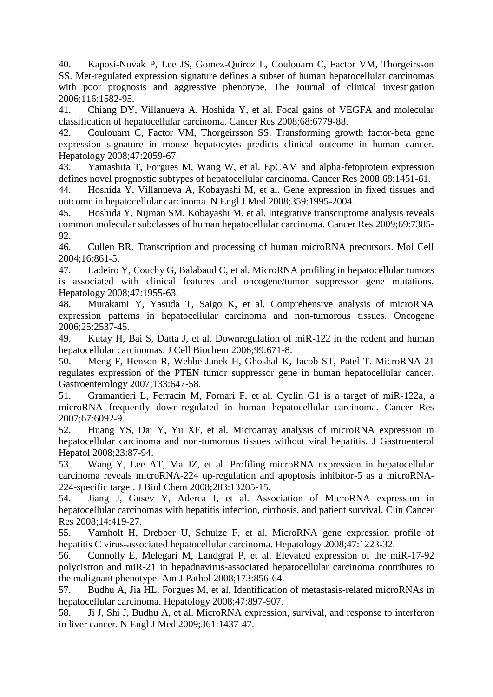40. Kaposi-Novak P, Lee JS, Gomez-Quiroz L, Coulouarn C, Factor VM, Thorgeirsson SS. Met-regulated expression signature defines a subset of human hepatocellular carcinomas with poor prognosis and aggressive phenotype. The Journal of clinical investigation 2006;116:1582-95.

41. Chiang DY, Villanueva A, Hoshida Y, et al. Focal gains of VEGFA and molecular classification of hepatocellular carcinoma. Cancer Res 2008;68:6779-88.

42. Coulouarn C, Factor VM, Thorgeirsson SS. Transforming growth factor-beta gene expression signature in mouse hepatocytes predicts clinical outcome in human cancer. Hepatology 2008;47:2059-67.

43. Yamashita T, Forgues M, Wang W, et al. EpCAM and alpha-fetoprotein expression defines novel prognostic subtypes of hepatocellular carcinoma. Cancer Res 2008;68:1451-61.

44. Hoshida Y, Villanueva A, Kobayashi M, et al. Gene expression in fixed tissues and outcome in hepatocellular carcinoma. N Engl J Med 2008;359:1995-2004.

45. Hoshida Y, Nijman SM, Kobayashi M, et al. Integrative transcriptome analysis reveals common molecular subclasses of human hepatocellular carcinoma. Cancer Res 2009;69:7385- 92.

46. Cullen BR. Transcription and processing of human microRNA precursors. Mol Cell 2004;16:861-5.

47. Ladeiro Y, Couchy G, Balabaud C, et al. MicroRNA profiling in hepatocellular tumors is associated with clinical features and oncogene/tumor suppressor gene mutations. Hepatology 2008;47:1955-63.

48. Murakami Y, Yasuda T, Saigo K, et al. Comprehensive analysis of microRNA expression patterns in hepatocellular carcinoma and non-tumorous tissues. Oncogene 2006;25:2537-45.

49. Kutay H, Bai S, Datta J, et al. Downregulation of miR-122 in the rodent and human hepatocellular carcinomas. J Cell Biochem 2006;99:671-8.

50. Meng F, Henson R, Wehbe-Janek H, Ghoshal K, Jacob ST, Patel T. MicroRNA-21 regulates expression of the PTEN tumor suppressor gene in human hepatocellular cancer. Gastroenterology 2007;133:647-58.

51. Gramantieri L, Ferracin M, Fornari F, et al. Cyclin G1 is a target of miR-122a, a microRNA frequently down-regulated in human hepatocellular carcinoma. Cancer Res 2007;67:6092-9.

52. Huang YS, Dai Y, Yu XF, et al. Microarray analysis of microRNA expression in hepatocellular carcinoma and non-tumorous tissues without viral hepatitis. J Gastroenterol Hepatol 2008;23:87-94.

53. Wang Y, Lee AT, Ma JZ, et al. Profiling microRNA expression in hepatocellular carcinoma reveals microRNA-224 up-regulation and apoptosis inhibitor-5 as a microRNA-224-specific target. J Biol Chem 2008;283:13205-15.

54. Jiang J, Gusev Y, Aderca I, et al. Association of MicroRNA expression in hepatocellular carcinomas with hepatitis infection, cirrhosis, and patient survival. Clin Cancer Res 2008;14:419-27.

55. Varnholt H, Drebber U, Schulze F, et al. MicroRNA gene expression profile of hepatitis C virus-associated hepatocellular carcinoma. Hepatology 2008;47:1223-32.

56. Connolly E, Melegari M, Landgraf P, et al. Elevated expression of the miR-17-92 polycistron and miR-21 in hepadnavirus-associated hepatocellular carcinoma contributes to the malignant phenotype. Am J Pathol 2008;173:856-64.

57. Budhu A, Jia HL, Forgues M, et al. Identification of metastasis-related microRNAs in hepatocellular carcinoma. Hepatology 2008;47:897-907.

58. Ji J, Shi J, Budhu A, et al. MicroRNA expression, survival, and response to interferon in liver cancer. N Engl J Med 2009;361:1437-47.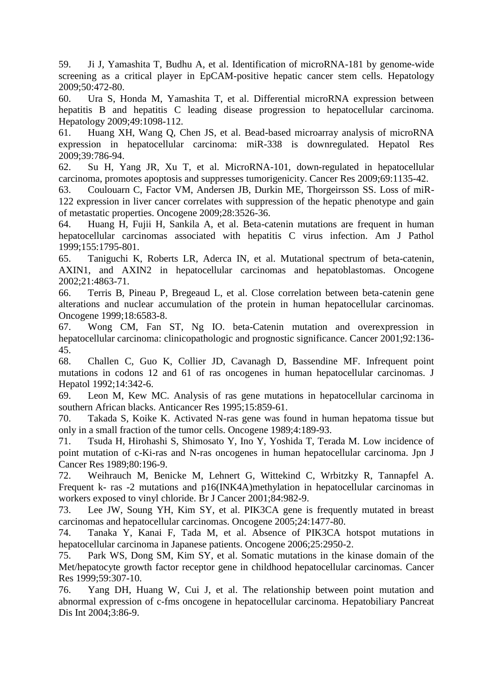59. Ji J, Yamashita T, Budhu A, et al. Identification of microRNA-181 by genome-wide screening as a critical player in EpCAM-positive hepatic cancer stem cells. Hepatology 2009;50:472-80.

60. Ura S, Honda M, Yamashita T, et al. Differential microRNA expression between hepatitis B and hepatitis C leading disease progression to hepatocellular carcinoma. Hepatology 2009;49:1098-112.

61. Huang XH, Wang Q, Chen JS, et al. Bead-based microarray analysis of microRNA expression in hepatocellular carcinoma: miR-338 is downregulated. Hepatol Res 2009;39:786-94.

62. Su H, Yang JR, Xu T, et al. MicroRNA-101, down-regulated in hepatocellular carcinoma, promotes apoptosis and suppresses tumorigenicity. Cancer Res 2009;69:1135-42.

63. Coulouarn C, Factor VM, Andersen JB, Durkin ME, Thorgeirsson SS. Loss of miR-122 expression in liver cancer correlates with suppression of the hepatic phenotype and gain of metastatic properties. Oncogene 2009;28:3526-36.

64. Huang H, Fujii H, Sankila A, et al. Beta-catenin mutations are frequent in human hepatocellular carcinomas associated with hepatitis C virus infection. Am J Pathol 1999;155:1795-801.

65. Taniguchi K, Roberts LR, Aderca IN, et al. Mutational spectrum of beta-catenin, AXIN1, and AXIN2 in hepatocellular carcinomas and hepatoblastomas. Oncogene 2002;21:4863-71.

66. Terris B, Pineau P, Bregeaud L, et al. Close correlation between beta-catenin gene alterations and nuclear accumulation of the protein in human hepatocellular carcinomas. Oncogene 1999;18:6583-8.

67. Wong CM, Fan ST, Ng IO. beta-Catenin mutation and overexpression in hepatocellular carcinoma: clinicopathologic and prognostic significance. Cancer 2001;92:136- 45.

68. Challen C, Guo K, Collier JD, Cavanagh D, Bassendine MF. Infrequent point mutations in codons 12 and 61 of ras oncogenes in human hepatocellular carcinomas. J Hepatol 1992;14:342-6.

69. Leon M, Kew MC. Analysis of ras gene mutations in hepatocellular carcinoma in southern African blacks. Anticancer Res 1995;15:859-61.

70. Takada S, Koike K. Activated N-ras gene was found in human hepatoma tissue but only in a small fraction of the tumor cells. Oncogene 1989;4:189-93.

71. Tsuda H, Hirohashi S, Shimosato Y, Ino Y, Yoshida T, Terada M. Low incidence of point mutation of c-Ki-ras and N-ras oncogenes in human hepatocellular carcinoma. Jpn J Cancer Res 1989;80:196-9.

72. Weihrauch M, Benicke M, Lehnert G, Wittekind C, Wrbitzky R, Tannapfel A. Frequent k- ras -2 mutations and p16(INK4A)methylation in hepatocellular carcinomas in workers exposed to vinyl chloride. Br J Cancer 2001;84:982-9.

73. Lee JW, Soung YH, Kim SY, et al. PIK3CA gene is frequently mutated in breast carcinomas and hepatocellular carcinomas. Oncogene 2005;24:1477-80.

74. Tanaka Y, Kanai F, Tada M, et al. Absence of PIK3CA hotspot mutations in hepatocellular carcinoma in Japanese patients. Oncogene 2006;25:2950-2.

75. Park WS, Dong SM, Kim SY, et al. Somatic mutations in the kinase domain of the Met/hepatocyte growth factor receptor gene in childhood hepatocellular carcinomas. Cancer Res 1999;59:307-10.

76. Yang DH, Huang W, Cui J, et al. The relationship between point mutation and abnormal expression of c-fms oncogene in hepatocellular carcinoma. Hepatobiliary Pancreat Dis Int 2004;3:86-9.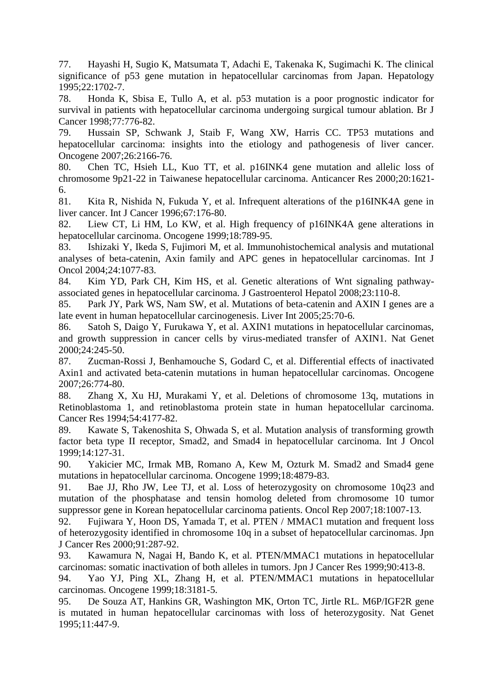77. Hayashi H, Sugio K, Matsumata T, Adachi E, Takenaka K, Sugimachi K. The clinical significance of p53 gene mutation in hepatocellular carcinomas from Japan. Hepatology 1995;22:1702-7.

78. Honda K, Sbisa E, Tullo A, et al. p53 mutation is a poor prognostic indicator for survival in patients with hepatocellular carcinoma undergoing surgical tumour ablation. Br J Cancer 1998;77:776-82.

79. Hussain SP, Schwank J, Staib F, Wang XW, Harris CC. TP53 mutations and hepatocellular carcinoma: insights into the etiology and pathogenesis of liver cancer. Oncogene 2007;26:2166-76.

80. Chen TC, Hsieh LL, Kuo TT, et al. p16INK4 gene mutation and allelic loss of chromosome 9p21-22 in Taiwanese hepatocellular carcinoma. Anticancer Res 2000;20:1621- 6.

81. Kita R, Nishida N, Fukuda Y, et al. Infrequent alterations of the p16INK4A gene in liver cancer. Int J Cancer 1996;67:176-80.

82. Liew CT, Li HM, Lo KW, et al. High frequency of p16INK4A gene alterations in hepatocellular carcinoma. Oncogene 1999;18:789-95.

83. Ishizaki Y, Ikeda S, Fujimori M, et al. Immunohistochemical analysis and mutational analyses of beta-catenin, Axin family and APC genes in hepatocellular carcinomas. Int J Oncol 2004;24:1077-83.

84. Kim YD, Park CH, Kim HS, et al. Genetic alterations of Wnt signaling pathwayassociated genes in hepatocellular carcinoma. J Gastroenterol Hepatol 2008;23:110-8.

85. Park JY, Park WS, Nam SW, et al. Mutations of beta-catenin and AXIN I genes are a late event in human hepatocellular carcinogenesis. Liver Int 2005;25:70-6.

86. Satoh S, Daigo Y, Furukawa Y, et al. AXIN1 mutations in hepatocellular carcinomas, and growth suppression in cancer cells by virus-mediated transfer of AXIN1. Nat Genet 2000;24:245-50.

87. Zucman-Rossi J, Benhamouche S, Godard C, et al. Differential effects of inactivated Axin1 and activated beta-catenin mutations in human hepatocellular carcinomas. Oncogene 2007;26:774-80.

88. Zhang X, Xu HJ, Murakami Y, et al. Deletions of chromosome 13q, mutations in Retinoblastoma 1, and retinoblastoma protein state in human hepatocellular carcinoma. Cancer Res 1994;54:4177-82.

89. Kawate S, Takenoshita S, Ohwada S, et al. Mutation analysis of transforming growth factor beta type II receptor, Smad2, and Smad4 in hepatocellular carcinoma. Int J Oncol 1999;14:127-31.

90. Yakicier MC, Irmak MB, Romano A, Kew M, Ozturk M. Smad2 and Smad4 gene mutations in hepatocellular carcinoma. Oncogene 1999;18:4879-83.

91. Bae JJ, Rho JW, Lee TJ, et al. Loss of heterozygosity on chromosome 10q23 and mutation of the phosphatase and tensin homolog deleted from chromosome 10 tumor suppressor gene in Korean hepatocellular carcinoma patients. Oncol Rep 2007;18:1007-13.

92. Fujiwara Y, Hoon DS, Yamada T, et al. PTEN / MMAC1 mutation and frequent loss of heterozygosity identified in chromosome 10q in a subset of hepatocellular carcinomas. Jpn J Cancer Res 2000;91:287-92.

93. Kawamura N, Nagai H, Bando K, et al. PTEN/MMAC1 mutations in hepatocellular carcinomas: somatic inactivation of both alleles in tumors. Jpn J Cancer Res 1999;90:413-8.

94. Yao YJ, Ping XL, Zhang H, et al. PTEN/MMAC1 mutations in hepatocellular carcinomas. Oncogene 1999;18:3181-5.

95. De Souza AT, Hankins GR, Washington MK, Orton TC, Jirtle RL. M6P/IGF2R gene is mutated in human hepatocellular carcinomas with loss of heterozygosity. Nat Genet 1995;11:447-9.